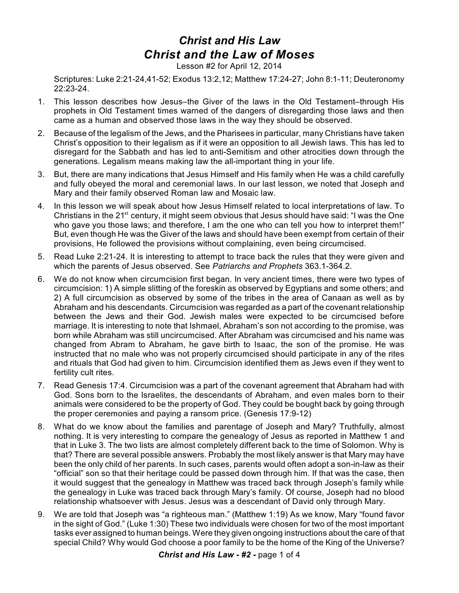## *Christ and His Law Christ and the Law of Moses*

Lesson #2 for April 12, 2014

Scriptures: Luke 2:21-24,41-52; Exodus 13:2,12; Matthew 17:24-27; John 8:1-11; Deuteronomy 22:23-24.

- 1. This lesson describes how Jesus–the Giver of the laws in the Old Testament–through His prophets in Old Testament times warned of the dangers of disregarding those laws and then came as a human and observed those laws in the way they should be observed.
- 2. Because of the legalism of the Jews, and the Pharisees in particular, many Christians have taken Christ's opposition to their legalism as if it were an opposition to all Jewish laws. This has led to disregard for the Sabbath and has led to anti-Semitism and other atrocities down through the generations. Legalism means making law the all-important thing in your life.
- 3. But, there are many indications that Jesus Himself and His family when He was a child carefully and fully obeyed the moral and ceremonial laws. In our last lesson, we noted that Joseph and Mary and their family observed Roman law and Mosaic law.
- 4. In this lesson we will speak about how Jesus Himself related to local interpretations of law. To Christians in the 21<sup>st</sup> century, it might seem obvious that Jesus should have said: "I was the One who gave you those laws; and therefore, I am the one who can tell you how to interpret them!" But, even though He was the Giver of the laws and should have been exempt from certain of their provisions, He followed the provisions without complaining, even being circumcised.
- 5. Read Luke 2:21-24. It is interesting to attempt to trace back the rules that they were given and which the parents of Jesus observed. See *Patriarchs and Prophets* 363.1-364.2.
- 6. We do not know when circumcision first began. In very ancient times, there were two types of circumcision: 1) A simple slitting of the foreskin as observed by Egyptians and some others; and 2) A full circumcision as observed by some of the tribes in the area of Canaan as well as by Abraham and his descendants. Circumcision was regarded as a part of the covenant relationship between the Jews and their God. Jewish males were expected to be circumcised before marriage. It is interesting to note that Ishmael, Abraham's son not according to the promise, was born while Abraham was still uncircumcised. After Abraham was circumcised and his name was changed from Abram to Abraham, he gave birth to Isaac, the son of the promise. He was instructed that no male who was not properly circumcised should participate in any of the rites and rituals that God had given to him. Circumcision identified them as Jews even if they went to fertility cult rites.
- 7. Read Genesis 17:4. Circumcision was a part of the covenant agreement that Abraham had with God. Sons born to the Israelites, the descendants of Abraham, and even males born to their animals were considered to be the property of God. They could be bought back by going through the proper ceremonies and paying a ransom price. (Genesis 17:9-12)
- 8. What do we know about the families and parentage of Joseph and Mary? Truthfully, almost nothing. It is very interesting to compare the genealogy of Jesus as reported in Matthew 1 and that in Luke 3. The two lists are almost completely different back to the time of Solomon. Why is that? There are several possible answers. Probably the most likely answer is that Mary may have been the only child of her parents. In such cases, parents would often adopt a son-in-law as their "official" son so that their heritage could be passed down through him. If that was the case, then it would suggest that the genealogy in Matthew was traced back through Joseph's family while the genealogy in Luke was traced back through Mary's family. Of course, Joseph had no blood relationship whatsoever with Jesus. Jesus was a descendant of David only through Mary.
- 9. We are told that Joseph was "a righteous man." (Matthew 1:19) As we know, Mary "found favor in the sight of God." (Luke 1:30) These two individuals were chosen for two of the most important tasks ever assigned to human beings. Were they given ongoing instructions about the care of that special Child? Why would God choose a poor family to be the home of the King of the Universe?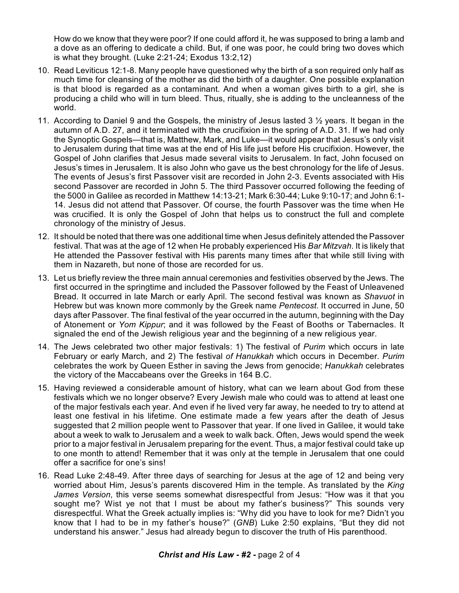How do we know that they were poor? If one could afford it, he was supposed to bring a lamb and a dove as an offering to dedicate a child. But, if one was poor, he could bring two doves which is what they brought. (Luke 2:21-24; Exodus 13:2,12)

- 10. Read Leviticus 12:1-8. Many people have questioned why the birth of a son required only half as much time for cleansing of the mother as did the birth of a daughter. One possible explanation is that blood is regarded as a contaminant. And when a woman gives birth to a girl, she is producing a child who will in turn bleed. Thus, ritually, she is adding to the uncleanness of the world.
- 11. According to Daniel 9 and the Gospels, the ministry of Jesus lasted  $3\frac{1}{2}$  years. It began in the autumn of A.D. 27, and it terminated with the crucifixion in the spring of A.D. 31. If we had only the Synoptic Gospels—that is, Matthew, Mark, and Luke—it would appear that Jesus's only visit to Jerusalem during that time was at the end of His life just before His crucifixion. However, the Gospel of John clarifies that Jesus made several visits to Jerusalem. In fact, John focused on Jesus's times in Jerusalem. It is also John who gave us the best chronology for the life of Jesus. The events of Jesus's first Passover visit are recorded in John 2-3. Events associated with His second Passover are recorded in John 5. The third Passover occurred following the feeding of the 5000 in Galilee as recorded in Matthew 14:13-21; Mark 6:30-44; Luke 9:10-17; and John 6:1- 14. Jesus did not attend that Passover. Of course, the fourth Passover was the time when He was crucified. It is only the Gospel of John that helps us to construct the full and complete chronology of the ministry of Jesus.
- 12. It should be noted that there was one additional time when Jesus definitely attended the Passover festival. That was at the age of 12 when He probably experienced His *Bar Mitzvah*. It is likely that He attended the Passover festival with His parents many times after that while still living with them in Nazareth, but none of those are recorded for us.
- 13. Let us briefly review the three main annual ceremonies and festivities observed by the Jews. The first occurred in the springtime and included the Passover followed by the Feast of Unleavened Bread. It occurred in late March or early April. The second festival was known as *Shavuot* in Hebrew but was known more commonly by the Greek name *Pentecost*. It occurred in June, 50 days after Passover. The final festival of the year occurred in the autumn, beginning with the Day of Atonement or *Yom Kippur*; and it was followed by the Feast of Booths or Tabernacles. It signaled the end of the Jewish religious year and the beginning of a new religious year.
- 14. The Jews celebrated two other major festivals: 1) The festival of *Purim* which occurs in late February or early March, and 2) The festival *of Hanukkah* which occurs in December. *Purim* celebrates the work by Queen Esther in saving the Jews from genocide; *Hanukkah* celebrates the victory of the Maccabeans over the Greeks in 164 B.C.
- 15. Having reviewed a considerable amount of history, what can we learn about God from these festivals which we no longer observe? Every Jewish male who could was to attend at least one of the major festivals each year. And even if he lived very far away, he needed to try to attend at least one festival in his lifetime. One estimate made a few years after the death of Jesus suggested that 2 million people went to Passover that year. If one lived in Galilee, it would take about a week to walk to Jerusalem and a week to walk back. Often, Jews would spend the week prior to a major festival in Jerusalem preparing for the event. Thus, a major festival could take up to one month to attend! Remember that it was only at the temple in Jerusalem that one could offer a sacrifice for one's sins!
- 16. Read Luke 2:48-49. After three days of searching for Jesus at the age of 12 and being very worried about Him, Jesus's parents discovered Him in the temple. As translated by the *King James Version*, this verse seems somewhat disrespectful from Jesus: "How was it that you sought me? Wist ye not that I must be about my father's business?" This sounds very disrespectful. What the Greek actually implies is: "Why did you have to look for me? Didn't you know that I had to be in my father's house?" (*GNB*) Luke 2:50 explains, "But they did not understand his answer." Jesus had already begun to discover the truth of His parenthood.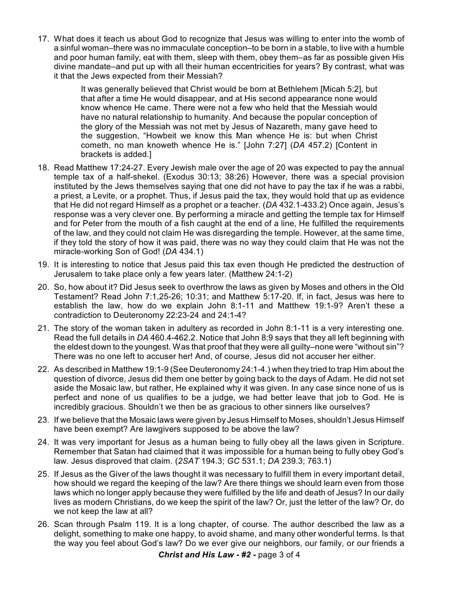17. What does it teach us about God to recognize that Jesus was willing to enter into the womb of a sinful woman–there was no immaculate conception–to be born in a stable, to live with a humble and poor human family, eat with them, sleep with them, obey them–as far as possible given His divine mandate–and put up with all their human eccentricities for years? By contrast, what was it that the Jews expected from their Messiah?

> It was generally believed that Christ would be born at Bethlehem [Micah 5:2], but that after a time He would disappear, and at His second appearance none would know whence He came. There were not a few who held that the Messiah would have no natural relationship to humanity. And because the popular conception of the glory of the Messiah was not met by Jesus of Nazareth, many gave heed to the suggestion, "Howbeit we know this Man whence He is: but when Christ cometh, no man knoweth whence He is." [John 7:27] (*DA* 457.2) [Content in brackets is added.]

- 18. Read Matthew 17:24-27. Every Jewish male over the age of 20 was expected to pay the annual temple tax of a half-shekel. (Exodus 30:13; 38:26) However, there was a special provision instituted by the Jews themselves saying that one did not have to pay the tax if he was a rabbi, a priest, a Levite, or a prophet. Thus, if Jesus paid the tax, they would hold that up as evidence that He did not regard Himself as a prophet or a teacher. (*DA* 432.1-433.2) Once again, Jesus's response was a very clever one. By performing a miracle and getting the temple tax for Himself and for Peter from the mouth of a fish caught at the end of a line, He fulfilled the requirements of the law, and they could not claim He was disregarding the temple. However, at the same time, if they told the story of how it was paid, there was no way they could claim that He was not the miracle-working Son of God! (*DA* 434.1)
- 19. It is interesting to notice that Jesus paid this tax even though He predicted the destruction of Jerusalem to take place only a few years later. (Matthew 24:1-2)
- 20. So, how about it? Did Jesus seek to overthrow the laws as given by Moses and others in the Old Testament? Read John 7:1,25-26; 10:31; and Matthew 5:17-20. If, in fact, Jesus was here to establish the law, how do we explain John 8:1-11 and Matthew 19:1-9? Aren't these a contradiction to Deuteronomy 22:23-24 and 24:1-4?
- 21. The story of the woman taken in adultery as recorded in John 8:1-11 is a very interesting one. Read the full details in *DA* 460.4-462.2. Notice that John 8:9 says that they all left beginning with the eldest down to the youngest. Was that proof that they were all guilty–none were "without sin"? There was no one left to accuser her! And, of course, Jesus did not accuser her either.
- 22. As described in Matthew 19:1-9 (See Deuteronomy 24:1-4.) when they tried to trap Him about the question of divorce, Jesus did them one better by going back to the days of Adam. He did not set aside the Mosaic law, but rather, He explained why it was given. In any case since none of us is perfect and none of us qualifies to be a judge, we had better leave that job to God. He is incredibly gracious. Shouldn't we then be as gracious to other sinners like ourselves?
- 23. If we believe that the Mosaic laws were given by Jesus Himself to Moses, shouldn't Jesus Himself have been exempt? Are lawgivers supposed to be above the law?
- 24. It was very important for Jesus as a human being to fully obey all the laws given in Scripture. Remember that Satan had claimed that it was impossible for a human being to fully obey God's law. Jesus disproved that claim. (*2SAT* 194.3; *GC* 531.1; *DA* 239.3; 763.1)
- 25. If Jesus as the Giver of the laws thought it was necessary to fulfill them in every important detail, how should we regard the keeping of the law? Are there things we should learn even from those laws which no longer apply because they were fulfilled by the life and death of Jesus? In our daily lives as modern Christians, do we keep the spirit of the law? Or, just the letter of the law? Or, do we not keep the law at all?
- 26. Scan through Psalm 119. It is a long chapter, of course. The author described the law as a delight, something to make one happy, to avoid shame, and many other wonderful terms. Is that the way you feel about God's law? Do we ever give our neighbors, our family, or our friends a